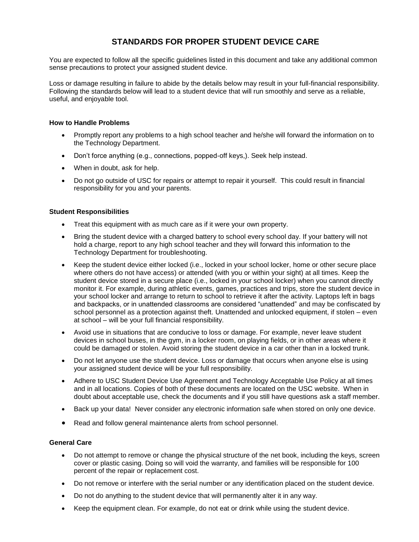# **STANDARDS FOR PROPER STUDENT DEVICE CARE**

You are expected to follow all the specific guidelines listed in this document and take any additional common sense precautions to protect your assigned student device.

Loss or damage resulting in failure to abide by the details below may result in your full-financial responsibility. Following the standards below will lead to a student device that will run smoothly and serve as a reliable, useful, and enjoyable tool.

#### **How to Handle Problems**

- Promptly report any problems to a high school teacher and he/she will forward the information on to the Technology Department.
- Don't force anything (e.g., connections, popped-off keys,). Seek help instead.
- When in doubt, ask for help.
- Do not go outside of USC for repairs or attempt to repair it yourself. This could result in financial responsibility for you and your parents.

### **Student Responsibilities**

- Treat this equipment with as much care as if it were your own property.
- Bring the student device with a charged battery to school every school day. If your battery will not hold a charge, report to any high school teacher and they will forward this information to the Technology Department for troubleshooting.
- Keep the student device either locked (i.e., locked in your school locker, home or other secure place where others do not have access) or attended (with you or within your sight) at all times. Keep the student device stored in a secure place (i.e., locked in your school locker) when you cannot directly monitor it. For example, during athletic events, games, practices and trips, store the student device in your school locker and arrange to return to school to retrieve it after the activity. Laptops left in bags and backpacks, or in unattended classrooms are considered "unattended" and may be confiscated by school personnel as a protection against theft. Unattended and unlocked equipment, if stolen – even at school – will be your full financial responsibility.
- Avoid use in situations that are conducive to loss or damage. For example, never leave student devices in school buses, in the gym, in a locker room, on playing fields, or in other areas where it could be damaged or stolen. Avoid storing the student device in a car other than in a locked trunk.
- Do not let anyone use the student device. Loss or damage that occurs when anyone else is using your assigned student device will be your full responsibility.
- Adhere to USC Student Device Use Agreement and Technology Acceptable Use Policy at all times and in all locations. Copies of both of these documents are located on the USC website. When in doubt about acceptable use, check the documents and if you still have questions ask a staff member.
- Back up your data! Never consider any electronic information safe when stored on only one device.
- Read and follow general maintenance alerts from school personnel.

#### **General Care**

- Do not attempt to remove or change the physical structure of the net book, including the keys, screen cover or plastic casing. Doing so will void the warranty, and families will be responsible for 100 percent of the repair or replacement cost.
- Do not remove or interfere with the serial number or any identification placed on the student device.
- Do not do anything to the student device that will permanently alter it in any way.
- Keep the equipment clean. For example, do not eat or drink while using the student device.